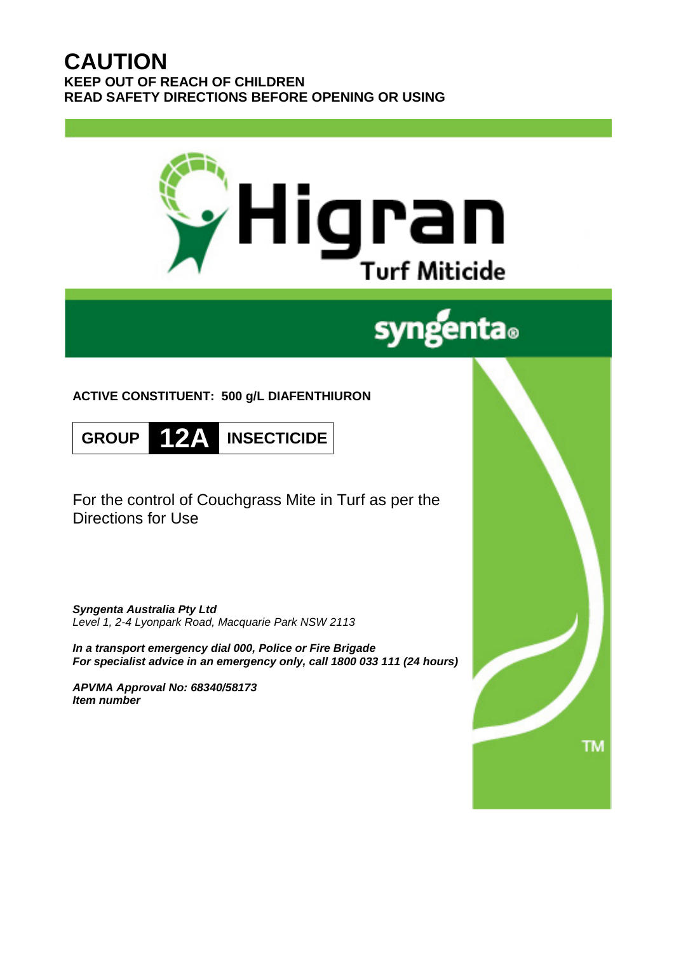# **CAUTION KEEP OUT OF REACH OF CHILDREN READ SAFETY DIRECTIONS BEFORE OPENING OR USING**



# syngenta.

**ACTIVE CONSTITUENT: 500 g/L DIAFENTHIURON**

**GROUP 12A INSECTICIDE**

For the control of Couchgrass Mite in Turf as per the Directions for Use

*Syngenta Australia Pty Ltd Level 1, 2-4 Lyonpark Road, Macquarie Park NSW 2113*

*In a transport emergency dial 000, Police or Fire Brigade For specialist advice in an emergency only, call 1800 033 111 (24 hours)*

*APVMA Approval No: 68340/58173 Item number*

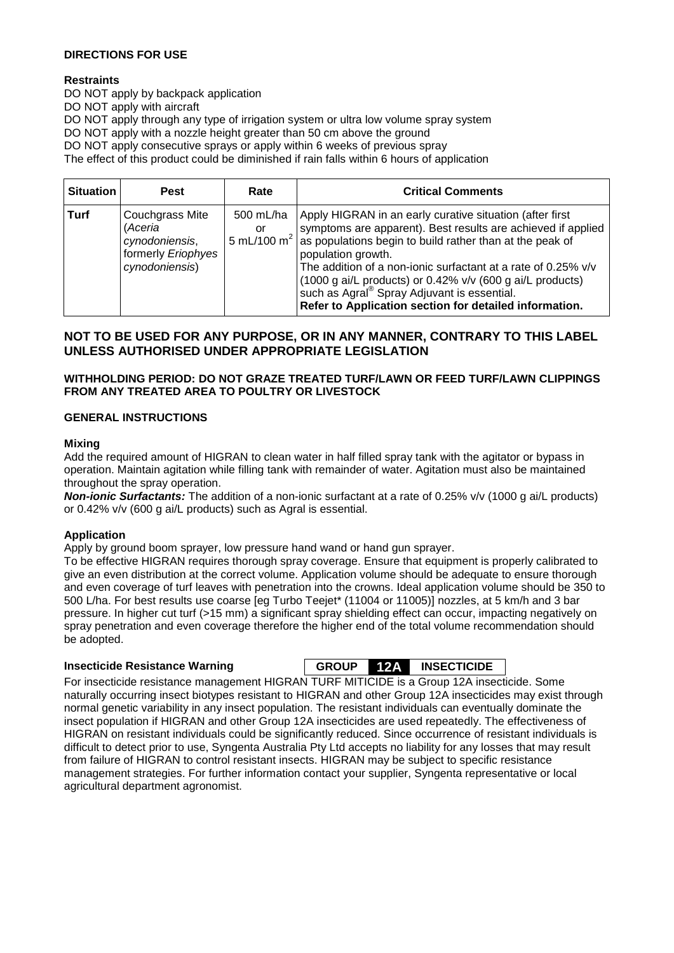# **DIRECTIONS FOR USE**

# **Restraints**

DO NOT apply by backpack application DO NOT apply with aircraft DO NOT apply through any type of irrigation system or ultra low volume spray system DO NOT apply with a nozzle height greater than 50 cm above the ground DO NOT apply consecutive sprays or apply within 6 weeks of previous spray The effect of this product could be diminished if rain falls within 6 hours of application

| <b>Situation</b> | <b>Pest</b>                                                                          | Rate            | <b>Critical Comments</b>                                                                                                                                                                                                                                                                                                                                                                                                                                                                 |
|------------------|--------------------------------------------------------------------------------------|-----------------|------------------------------------------------------------------------------------------------------------------------------------------------------------------------------------------------------------------------------------------------------------------------------------------------------------------------------------------------------------------------------------------------------------------------------------------------------------------------------------------|
| Turf             | Couchgrass Mite<br>(Aceria<br>cynodoniensis,<br>formerly Eriophyes<br>cynodoniensis) | 500 mL/ha<br>or | Apply HIGRAN in an early curative situation (after first<br>symptoms are apparent). Best results are achieved if applied<br>5 mL/100 m <sup>2</sup> as populations begin to build rather than at the peak of<br>population growth.<br>The addition of a non-ionic surfactant at a rate of 0.25% v/v<br>(1000 g ai/L products) or $0.42\%$ v/v (600 g ai/L products)<br>such as Agral <sup>®</sup> Spray Adjuvant is essential.<br>Refer to Application section for detailed information. |

# **NOT TO BE USED FOR ANY PURPOSE, OR IN ANY MANNER, CONTRARY TO THIS LABEL UNLESS AUTHORISED UNDER APPROPRIATE LEGISLATION**

# **WITHHOLDING PERIOD: DO NOT GRAZE TREATED TURF/LAWN OR FEED TURF/LAWN CLIPPINGS FROM ANY TREATED AREA TO POULTRY OR LIVESTOCK**

# **GENERAL INSTRUCTIONS**

### **Mixing**

Add the required amount of HIGRAN to clean water in half filled spray tank with the agitator or bypass in operation. Maintain agitation while filling tank with remainder of water. Agitation must also be maintained throughout the spray operation.

*Non-ionic Surfactants:* The addition of a non-ionic surfactant at a rate of 0.25% v/v (1000 g ai/L products) or 0.42% v/v (600 g ai/L products) such as Agral is essential.

### **Application**

Apply by ground boom sprayer, low pressure hand wand or hand gun sprayer.

To be effective HIGRAN requires thorough spray coverage. Ensure that equipment is properly calibrated to give an even distribution at the correct volume. Application volume should be adequate to ensure thorough and even coverage of turf leaves with penetration into the crowns. Ideal application volume should be 350 to 500 L/ha. For best results use coarse [eg Turbo Teejet\* (11004 or 11005)] nozzles, at 5 km/h and 3 bar pressure. In higher cut turf (>15 mm) a significant spray shielding effect can occur, impacting negatively on spray penetration and even coverage therefore the higher end of the total volume recommendation should be adopted.

**Insecticide Resistance Warning GROUP 12A INSECTICIDE**

For insecticide resistance management HIGRAN TURF MITICIDE is a Group 12A insecticide. Some naturally occurring insect biotypes resistant to HIGRAN and other Group 12A insecticides may exist through normal genetic variability in any insect population. The resistant individuals can eventually dominate the insect population if HIGRAN and other Group 12A insecticides are used repeatedly. The effectiveness of HIGRAN on resistant individuals could be significantly reduced. Since occurrence of resistant individuals is difficult to detect prior to use, Syngenta Australia Pty Ltd accepts no liability for any losses that may result from failure of HIGRAN to control resistant insects. HIGRAN may be subject to specific resistance management strategies. For further information contact your supplier, Syngenta representative or local agricultural department agronomist.